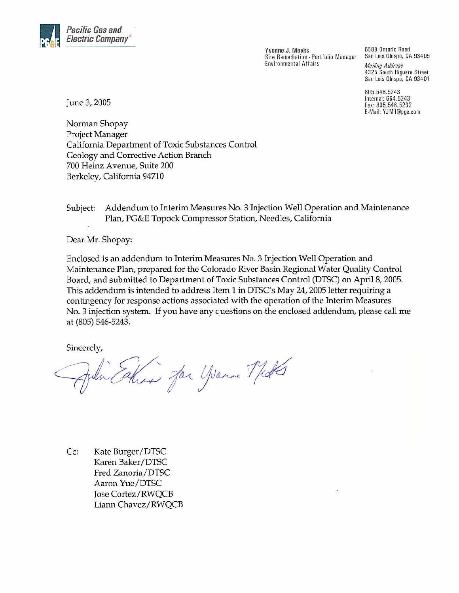

Yvonne J. Meeks Site Remediation - Portfolio Manager **Environmental Affairs** 

6588 Ontario Road San Luis Obispo, CA 93405 **Mailing Address** 4325 South Higuera Street San Luis Obispo, CA 93401

805.546.5243 Internal: 664.5243 Fax: 805.546.5232 E-Mail: YJM1@pge.com

June 3, 2005

Norman Shopay Project Manager California Department of Toxic Substances Control Geology and Corrective Action Branch 700 Heinz Avenue, Suite 200 Berkeley, California 94710

Subject: Addendum to Interim Measures No. 3 Injection Well Operation and Maintenance Plan, PG&E Topock Compressor Station, Needles, California

Dear Mr. Shopay:

Enclosed is an addendum to Interim Measures No. 3 Injection Well Operation and Maintenance Plan, prepared for the Colorado River Basin Regional Water Quality Control Board, and submitted to Department of Toxic Substances Control (DTSC) on April 8, 2005. This addendum is intended to address Item 1 in DTSC's May 24, 2005 letter requiring a contingency for response actions associated with the operation of the Interim Measures No. 3 injection system. If you have any questions on the enclosed addendum, please call me at (805) 546-5243.

Sincerely,

Taking for youne Met

 $Cc:$ Kate Burger/DTSC Karen Baker/DTSC Fred Zanoria/DTSC Aaron Yue/DTSC Jose Cortez/RWQCB Liann Chavez/RWQCB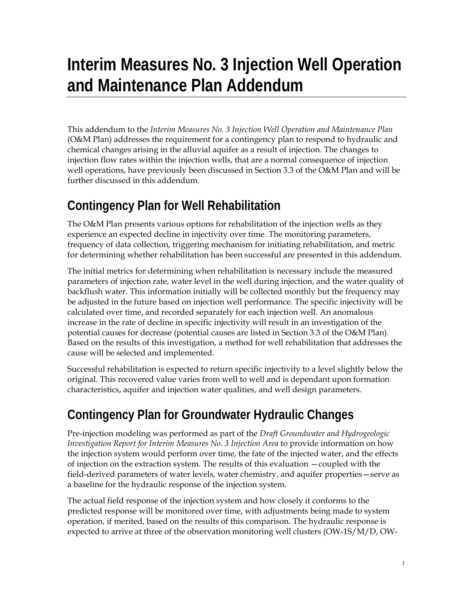## **Interim Measures No. 3 Injection Well Operation and Maintenance Plan Addendum**

This addendum to the *Interim Measures No. 3 Injection Well Operation and Maintenance Plan* (O&M Plan) addresses the requirement for a contingency plan to respond to hydraulic and chemical changes arising in the alluvial aquifer as a result of injection. The changes to injection flow rates within the injection wells, that are a normal consequence of injection well operations, have previously been discussed in Section 3.3 of the O&M Plan and will be further discussed in this addendum.

## **Contingency Plan for Well Rehabilitation**

The O&M Plan presents various options for rehabilitation of the injection wells as they experience an expected decline in injectivity over time. The monitoring parameters, frequency of data collection, triggering mechanism for initiating rehabilitation, and metric for determining whether rehabilitation has been successful are presented in this addendum.

The initial metrics for determining when rehabilitation is necessary include the measured parameters of injection rate, water level in the well during injection, and the water quality of backflush water. This information initially will be collected monthly but the frequency may be adjusted in the future based on injection well performance. The specific injectivity will be calculated over time, and recorded separately for each injection well. An anomalous increase in the rate of decline in specific injectivity will result in an investigation of the potential causes for decrease (potential causes are listed in Section 3.3 of the O&M Plan). Based on the results of this investigation, a method for well rehabilitation that addresses the cause will be selected and implemented.

Successful rehabilitation is expected to return specific injectivity to a level slightly below the original. This recovered value varies from well to well and is dependant upon formation characteristics, aquifer and injection water qualities, and well design parameters.

## **Contingency Plan for Groundwater Hydraulic Changes**

Pre-injection modeling was performed as part of the *Draft Groundwater and Hydrogeologic Investigation Report for Interim Measures No. 3 Injection Area* to provide information on how the injection system would perform over time, the fate of the injected water, and the effects of injection on the extraction system. The results of this evaluation —coupled with the field-derived parameters of water levels, water chemistry, and aquifer properties—serve as a baseline for the hydraulic response of the injection system.

The actual field response of the injection system and how closely it conforms to the predicted response will be monitored over time, with adjustments being made to system operation, if merited, based on the results of this comparison. The hydraulic response is expected to arrive at three of the observation monitoring well clusters (OW-1S/M/D, OW-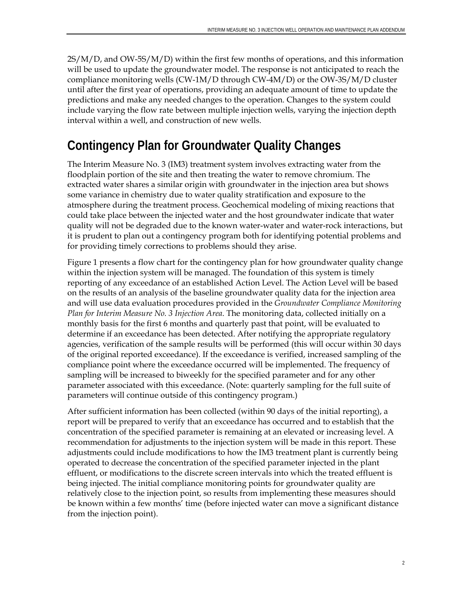2S/M/D, and OW-5S/M/D) within the first few months of operations, and this information will be used to update the groundwater model. The response is not anticipated to reach the compliance monitoring wells (CW-1M/D through CW-4M/D) or the OW-3S/M/D cluster until after the first year of operations, providing an adequate amount of time to update the predictions and make any needed changes to the operation. Changes to the system could include varying the flow rate between multiple injection wells, varying the injection depth interval within a well, and construction of new wells.

## **Contingency Plan for Groundwater Quality Changes**

The Interim Measure No. 3 (IM3) treatment system involves extracting water from the floodplain portion of the site and then treating the water to remove chromium. The extracted water shares a similar origin with groundwater in the injection area but shows some variance in chemistry due to water quality stratification and exposure to the atmosphere during the treatment process. Geochemical modeling of mixing reactions that could take place between the injected water and the host groundwater indicate that water quality will not be degraded due to the known water-water and water-rock interactions, but it is prudent to plan out a contingency program both for identifying potential problems and for providing timely corrections to problems should they arise.

Figure 1 presents a flow chart for the contingency plan for how groundwater quality change within the injection system will be managed. The foundation of this system is timely reporting of any exceedance of an established Action Level. The Action Level will be based on the results of an analysis of the baseline groundwater quality data for the injection area and will use data evaluation procedures provided in the *Groundwater Compliance Monitoring Plan for Interim Measure No. 3 Injection Area*. The monitoring data, collected initially on a monthly basis for the first 6 months and quarterly past that point, will be evaluated to determine if an exceedance has been detected. After notifying the appropriate regulatory agencies, verification of the sample results will be performed (this will occur within 30 days of the original reported exceedance). If the exceedance is verified, increased sampling of the compliance point where the exceedance occurred will be implemented. The frequency of sampling will be increased to biweekly for the specified parameter and for any other parameter associated with this exceedance. (Note: quarterly sampling for the full suite of parameters will continue outside of this contingency program.)

After sufficient information has been collected (within 90 days of the initial reporting), a report will be prepared to verify that an exceedance has occurred and to establish that the concentration of the specified parameter is remaining at an elevated or increasing level. A recommendation for adjustments to the injection system will be made in this report. These adjustments could include modifications to how the IM3 treatment plant is currently being operated to decrease the concentration of the specified parameter injected in the plant effluent, or modifications to the discrete screen intervals into which the treated effluent is being injected. The initial compliance monitoring points for groundwater quality are relatively close to the injection point, so results from implementing these measures should be known within a few months' time (before injected water can move a significant distance from the injection point).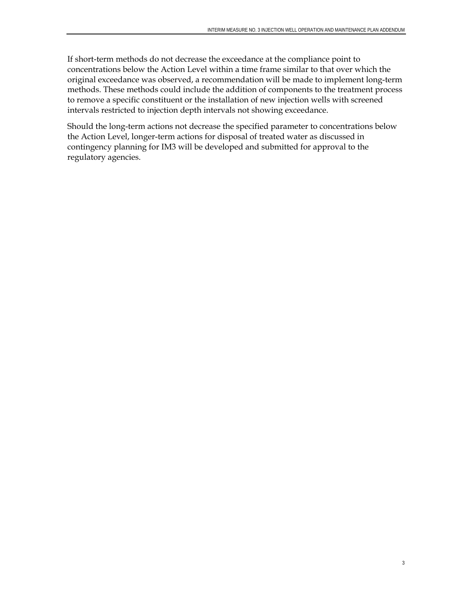If short-term methods do not decrease the exceedance at the compliance point to concentrations below the Action Level within a time frame similar to that over which the original exceedance was observed, a recommendation will be made to implement long-term methods. These methods could include the addition of components to the treatment process to remove a specific constituent or the installation of new injection wells with screened intervals restricted to injection depth intervals not showing exceedance.

Should the long-term actions not decrease the specified parameter to concentrations below the Action Level, longer-term actions for disposal of treated water as discussed in contingency planning for IM3 will be developed and submitted for approval to the regulatory agencies.